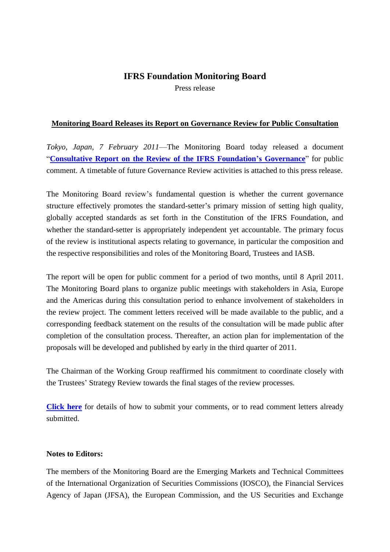## **IFRS Foundation Monitoring Board**

Press release

#### **Monitoring Board Releases its Report on Governance Review for Public Consultation**

*Tokyo, Japan, 7 February 2011*—The Monitoring Board today released a document "**[Consultative Report on the Review of the IFRS Foundation's Governance](http://www.iosco.org/monitoring_board/pdf/Review_of_the_IFRS_Foundation_Governance_Report.pdf)**" for public comment. A timetable of future Governance Review activities is attached to this press release.

The Monitoring Board review's fundamental question is whether the current governance structure effectively promotes the standard-setter's primary mission of setting high quality, globally accepted standards as set forth in the Constitution of the IFRS Foundation, and whether the standard-setter is appropriately independent yet accountable. The primary focus of the review is institutional aspects relating to governance, in particular the composition and the respective responsibilities and roles of the Monitoring Board, Trustees and IASB.

The report will be open for public comment for a period of two months, until 8 April 2011. The Monitoring Board plans to organize public meetings with stakeholders in Asia, Europe and the Americas during this consultation period to enhance involvement of stakeholders in the review project. The comment letters received will be made available to the public, and a corresponding feedback statement on the results of the consultation will be made public after completion of the consultation process. Thereafter, an action plan for implementation of the proposals will be developed and published by early in the third quarter of 2011.

The Chairman of the Working Group reaffirmed his commitment to coordinate closely with the Trustees' Strategy Review towards the final stages of the review processes.

**[Click here](http://www.iosco.org/monitoring_board/?page=Governance_Review_IFRS_Foundation.cfm)** for details of how to submit your comments, or to read comment letters already submitted.

#### **Notes to Editors:**

The members of the Monitoring Board are the Emerging Markets and Technical Committees of the International Organization of Securities Commissions (IOSCO), the Financial Services Agency of Japan (JFSA), the European Commission, and the US Securities and Exchange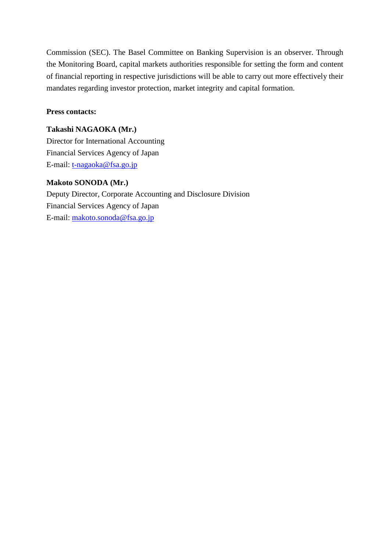Commission (SEC). The Basel Committee on Banking Supervision is an observer. Through the Monitoring Board, capital markets authorities responsible for setting the form and content of financial reporting in respective jurisdictions will be able to carry out more effectively their mandates regarding investor protection, market integrity and capital formation.

### **Press contacts:**

**Takashi NAGAOKA (Mr.)** Director for International Accounting Financial Services Agency of Japan E-mail: [t-nagaoka@fsa.go.jp](mailto:t-nagaoka@fsa.go.jp)

#### **Makoto SONODA (Mr.)**

Deputy Director, Corporate Accounting and Disclosure Division Financial Services Agency of Japan E-mail: [makoto.sonoda@fsa.go.jp](mailto:makoto.sonoda@fsa.go.jp)